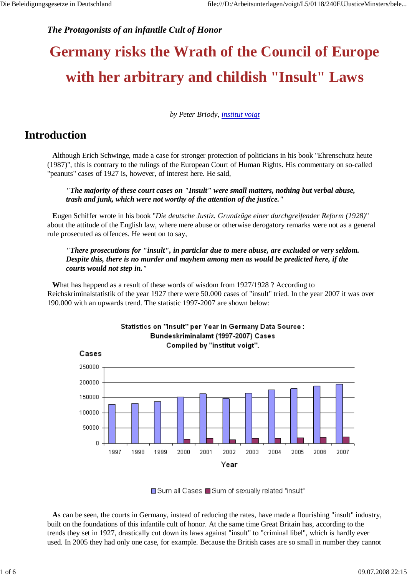## *The Protagonists of an infantile Cult of Honor*

# **Germany risks the Wrath of the Council of Europe with her arbitrary and childish "Insult" Laws**

*by Peter Briody, institut voigt*

## **Introduction**

**A**lthough Erich Schwinge, made a case for stronger protection of politicians in his book "Ehrenschutz heute (1987)", this is contrary to the rulings of the European Court of Human Rights. His commentary on so-called "peanuts" cases of 1927 is, however, of interest here. He said,

*"The majority of these court cases on "Insult" were small matters, nothing but verbal abuse, trash and junk, which were not worthy of the attention of the justice."*

**E**ugen Schiffer wrote in his book "*Die deutsche Justiz. Grundzüge einer durchgreifender Reform (1928)*" about the attitude of the English law, where mere abuse or otherwise derogatory remarks were not as a general rule prosecuted as offences. He went on to say,

*"There prosecutions for "insult", in particlar due to mere abuse, are excluded or very seldom. Despite this, there is no murder and mayhem among men as would be predicted here, if the courts would not step in."* 

**W**hat has happend as a result of these words of wisdom from 1927/1928 ? According to Reichskriminalstatistik of the year 1927 there were 50.000 cases of "insult" tried. In the year 2007 it was over 190.000 with an upwards trend. The statistic 1997-2007 are shown below:



■Sum all Cases ■Sum of sexually related "insult"

**A**s can be seen, the courts in Germany, instead of reducing the rates, have made a flourishing "insult" industry, built on the foundations of this infantile cult of honor. At the same time Great Britain has, according to the trends they set in 1927, drastically cut down its laws against "insult" to "criminal libel", which is hardly ever used. In 2005 they had only one case, for example. Because the British cases are so small in number they cannot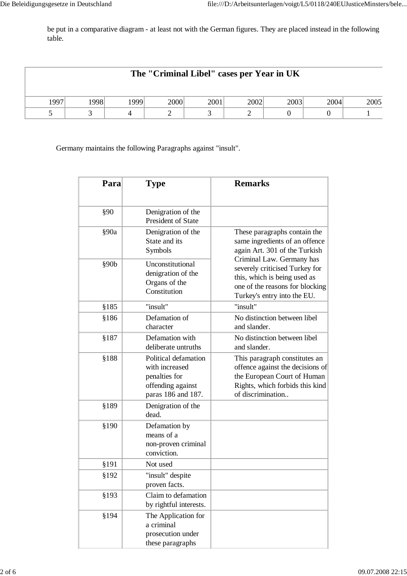be put in a comparative diagram - at least not with the German figures. They are placed instead in the following table.

| The "Criminal Libel" cases per Year in UK |      |     |      |      |      |      |      |      |
|-------------------------------------------|------|-----|------|------|------|------|------|------|
| 1997                                      | 1998 | 999 | 2000 | 2001 | 2002 | 2003 | 2004 | 2005 |
|                                           |      |     |      |      |      |      |      |      |

Germany maintains the following Paragraphs against "insult".

| Para  | Type                                                                                               | <b>Remarks</b>                                                                                                                                                |  |  |  |
|-------|----------------------------------------------------------------------------------------------------|---------------------------------------------------------------------------------------------------------------------------------------------------------------|--|--|--|
| §90   | Denigration of the<br>President of State                                                           |                                                                                                                                                               |  |  |  |
| §90a  | Denigration of the<br>State and its<br>Symbols                                                     | These paragraphs contain the<br>same ingredients of an offence<br>again Art. 301 of the Turkish                                                               |  |  |  |
| §90b  | Unconstitutional<br>denigration of the<br>Organs of the<br>Constitution                            | Criminal Law. Germany has<br>severely criticised Turkey for<br>this, which is being used as<br>one of the reasons for blocking<br>Turkey's entry into the EU. |  |  |  |
| \$185 | "insult"                                                                                           | "insult"                                                                                                                                                      |  |  |  |
| §186  | Defamation of<br>character                                                                         | No distinction between libel<br>and slander.                                                                                                                  |  |  |  |
| §187  | Defamation with<br>deliberate untruths                                                             | No distinction between libel<br>and slander.                                                                                                                  |  |  |  |
| \$188 | Political defamation<br>with increased<br>penalties for<br>offending against<br>paras 186 and 187. | This paragraph constitutes an<br>offence against the decisions of<br>the European Court of Human<br>Rights, which forbids this kind<br>of discrimination      |  |  |  |
| §189  | Denigration of the<br>dead.                                                                        |                                                                                                                                                               |  |  |  |
| \$190 | Defamation by<br>means of a<br>non-proven criminal<br>conviction.                                  |                                                                                                                                                               |  |  |  |
| §191  | Not used                                                                                           |                                                                                                                                                               |  |  |  |
| §192  | "insult" despite<br>proven facts.                                                                  |                                                                                                                                                               |  |  |  |
| §193  | Claim to defamation<br>by rightful interests.                                                      |                                                                                                                                                               |  |  |  |
| §194  | The Application for<br>a criminal<br>prosecution under<br>these paragraphs                         |                                                                                                                                                               |  |  |  |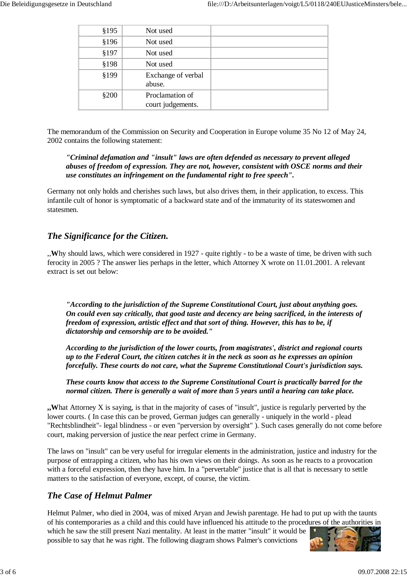| \$195 | Not used                             |  |
|-------|--------------------------------------|--|
| \$196 | Not used                             |  |
| §197  | Not used                             |  |
| \$198 | Not used                             |  |
| §199  | Exchange of verbal<br>abuse.         |  |
| \$200 | Proclamation of<br>court judgements. |  |

The memorandum of the Commission on Security and Cooperation in Europe volume 35 No 12 of May 24, 2002 contains the following statement:

#### *"Criminal defamation and "insult" laws are often defended as necessary to prevent alleged abuses of freedom of expression. They are not, however, consistent with OSCE norms and their use constitutes an infringement on the fundamental right to free speech".*

Germany not only holds and cherishes such laws, but also drives them, in their application, to excess. This infantile cult of honor is symptomatic of a backward state and of the immaturity of its stateswomen and statesmen.

## *The Significance for the Citizen.*

,,**W**hy should laws, which were considered in 1927 - quite rightly - to be a waste of time, be driven with such ferocity in 2005 ? The answer lies perhaps in the letter, which Attorney X wrote on 11.01.2001. A relevant extract is set out below:

*"According to the jurisdiction of the Supreme Constitutional Court, just about anything goes. On could even say critically, that good taste and decency are being sacrificed, in the interests of freedom of expression, artistic effect and that sort of thing. However, this has to be, if dictatorship and censorship are to be avoided."*

*According to the jurisdiction of the lower courts, from magistrates', district and regional courts up to the Federal Court, the citizen catches it in the neck as soon as he expresses an opinion forcefully. These courts do not care, what the Supreme Constitutional Court's jurisdiction says.*

*These courts know that access to the Supreme Constitutional Court is practically barred for the normal citizen. There is generally a wait of more than 5 years until a hearing can take place.*

**,,W**hat Attorney X is saying, is that in the majority of cases of "insult", justice is regularly perverted by the lower courts. ( In case this can be proved, German judges can generally - uniquely in the world - plead "Rechtsblindheit"- legal blindness - or even "perversion by oversight" ). Such cases generally do not come before court, making perversion of justice the near perfect crime in Germany.

The laws on "insult" can be very useful for irregular elements in the administration, justice and industry for the purpose of entrapping a citizen, who has his own views on their doings. As soon as he reacts to a provocation with a forceful expression, then they have him. In a "pervertable" justice that is all that is necessary to settle matters to the satisfaction of everyone, except, of course, the victim.

## *The Case of Helmut Palmer*

Helmut Palmer, who died in 2004, was of mixed Aryan and Jewish parentage. He had to put up with the taunts of his contemporaries as a child and this could have influenced his attitude to the procedures of the authorities in which he saw the still present Nazi mentality. At least in the matter "insult" it would be possible to say that he was right. The following diagram shows Palmer's convictions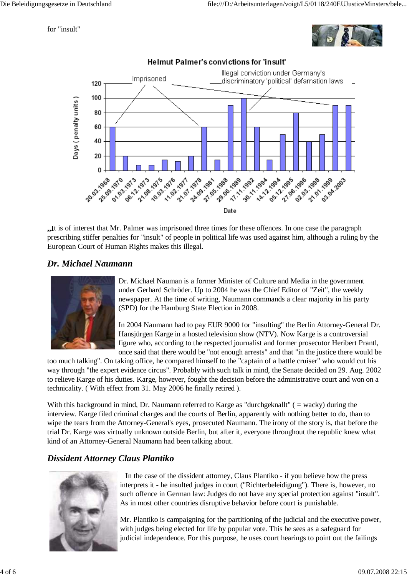for "insult"





**,,I**t is of interest that Mr. Palmer was imprisoned three times for these offences. In one case the paragraph prescribing stiffer penalties for "insult" of people in political life was used against him, although a ruling by the European Court of Human Rights makes this illegal.

## *Dr. Michael Naumann*



Dr. Michael Nauman is a former Minister of Culture and Media in the government under Gerhard Schröder. Up to 2004 he was the Chief Editor of "Zeit", the weekly newspaper. At the time of writing, Naumann commands a clear majority in his party (SPD) for the Hamburg State Election in 2008.

In 2004 Naumann had to pay EUR 9000 for "insulting" the Berlin Attorney-General Dr. Hansjürgen Karge in a hosted television show (NTV). Now Karge is a controversial figure who, according to the respected journalist and former prosecutor Heribert Prantl, once said that there would be "not enough arrests" and that "in the justice there would be

too much talking". On taking office, he compared himself to the "captain of a battle cruiser" who would cut his way through "the expert evidence circus". Probably with such talk in mind, the Senate decided on 29. Aug. 2002 to relieve Karge of his duties. Karge, however, fought the decision before the administrative court and won on a technicality. ( With effect from 31. May 2006 he finally retired ).

With this background in mind, Dr. Naumann referred to Karge as "durchgeknallt" ( = wacky) during the interview. Karge filed criminal charges and the courts of Berlin, apparently with nothing better to do, than to wipe the tears from the Attorney-General's eyes, prosecuted Naumann. The irony of the story is, that before the trial Dr. Karge was virtually unknown outside Berlin, but after it, everyone throughout the republic knew what kind of an Attorney-General Naumann had been talking about.

#### *Dissident Attorney Claus Plantiko*



**I**n the case of the dissident attorney, Claus Plantiko - if you believe how the press interprets it - he insulted judges in court ("Richterbeleidigung"). There is, however, no such offence in German law: Judges do not have any special protection against "insult". As in most other countries disruptive behavior before court is punishable.

Mr. Plantiko is campaigning for the partitioning of the judicial and the executive power, with judges being elected for life by popular vote. This he sees as a safeguard for judicial independence. For this purpose, he uses court hearings to point out the failings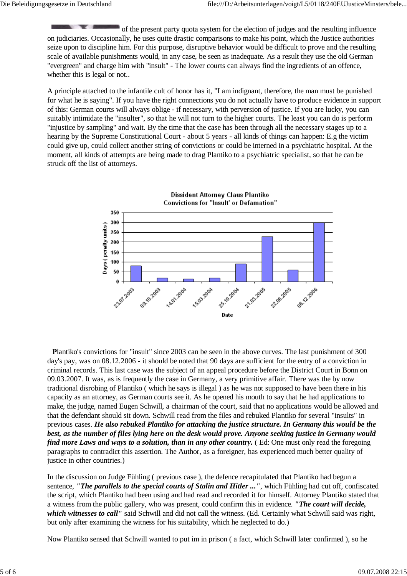of the present party quota system for the election of judges and the resulting influence on judiciaries. Occasionally, he uses quite drastic comparisons to make his point, which the Justice authorities seize upon to discipline him. For this purpose, disruptive behavior would be difficult to prove and the resulting scale of available punishments would, in any case, be seen as inadequate. As a result they use the old German "evergreen" and charge him with "insult" - The lower courts can always find the ingredients of an offence, whether this is legal or not..

A principle attached to the infantile cult of honor has it, "I am indignant, therefore, the man must be punished for what he is saying". If you have the right connections you do not actually have to produce evidence in support of this: German courts will always oblige - if necessary, with perversion of justice. If you are lucky, you can suitably intimidate the "insulter", so that he will not turn to the higher courts. The least you can do is perform "injustice by sampling" and wait. By the time that the case has been through all the necessary stages up to a hearing by the Supreme Constitutional Court - about 5 years - all kinds of things can happen: E.g the victim could give up, could collect another string of convictions or could be interned in a psychiatric hospital. At the moment, all kinds of attempts are being made to drag Plantiko to a psychiatric specialist, so that he can be struck off the list of attorneys.



**P**lantiko's convictions for "insult" since 2003 can be seen in the above curves. The last punishment of 300 day's pay, was on 08.12.2006 - it should be noted that 90 days are sufficient for the entry of a conviction in criminal records. This last case was the subject of an appeal procedure before the District Court in Bonn on 09.03.2007. It was, as is frequently the case in Germany, a very primitive affair. There was the by now traditional disrobing of Plantiko ( which he says is illegal ) as he was not supposed to have been there in his capacity as an attorney, as German courts see it. As he opened his mouth to say that he had applications to make, the judge, named Eugen Schwill, a chairman of the court, said that no applications would be allowed and that the defendant should sit down. Schwill read from the files and rebuked Plantiko for several "insults" in previous cases. *He also rebuked Plantiko for attacking the justice structure. In Germany this would be the best, as the number of files lying here on the desk would prove. Anyone seeking justice in Germany would find more Laws and ways to a solution, than in any other country.* (Ed: One must only read the foregoing paragraphs to contradict this assertion. The Author, as a foreigner, has experienced much better quality of justice in other countries.)

In the discussion on Judge Fühling ( previous case ), the defence recapitulated that Plantiko had begun a sentence, *"The parallels to the special courts of Stalin and Hitler ..."*, which Fühling had cut off, confiscated the script, which Plantiko had been using and had read and recorded it for himself. Attorney Plantiko stated that a witness from the public gallery, who was present, could confirm this in evidence. *"The court will decide, which witnesses to call"* said Schwill and did not call the witness. (Ed. Certainly what Schwill said was right, but only after examining the witness for his suitability, which he neglected to do.)

Now Plantiko sensed that Schwill wanted to put im in prison ( a fact, which Schwill later confirmed ), so he